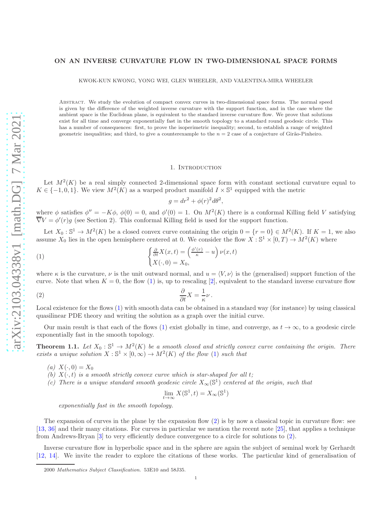### ON AN INVERSE CURVATURE FLOW IN TWO-DIMENSIONAL SPACE FORMS

KWOK-KUN KWONG, YONG WEI, GLEN WHEELER, AND VALENTINA-MIRA WHEELER

Abstract. We study the evolution of compact convex curves in two-dimensional space forms. The normal speed is given by the difference of the weighted inverse curvature with the support function, and in the case where the ambient space is the Euclidean plane, is equivalent to the standard inverse curvature flow. We prove that solutions exist for all time and converge exponentially fast in the smooth topology to a standard round geodesic circle. This has a number of consequences: first, to prove the isoperimetric inequality; second, to establish a range of weighted geometric inequalities; and third, to give a counterexample to the  $n = 2$  case of a conjecture of Girão-Pinheiro.

#### 1. INTRODUCTION

Let  $M^2(K)$  be a real simply connected 2-dimensional space form with constant sectional curvature equal to  $K \in \{-1, 0, 1\}$ . We view  $M^2(K)$  as a warped product manifold  $I \times \mathbb{S}^1$  equipped with the metric

<span id="page-0-1"></span> $g = dr^2 + \phi(r)^2 d\theta^2$ ,

where  $\phi$  satisfies  $\phi'' = -K\phi$ ,  $\phi(0) = 0$ , and  $\phi'(0) = 1$ . On  $M^2(K)$  there is a conformal Killing field V satisfying  $\overline{\nabla}V = \phi'(r)g$  (see Section 2). This conformal Killing field is used for the support function.

Let  $X_0: \mathbb{S}^1 \to M^2(K)$  be a closed convex curve containing the origin  $0 = \{r = 0\} \in M^2(K)$ . If  $K = 1$ , we also assume  $X_0$  lies in the open hemisphere centered at 0. We consider the flow  $X : \mathbb{S}^1 \times [0,T) \to M^2(K)$  where

<span id="page-0-0"></span>(1) 
$$
\begin{cases} \frac{\partial}{\partial t} X(x,t) = \left(\frac{\phi'(r)}{\kappa} - u\right) \nu(x,t) \\ X(\cdot,0) = X_0, \end{cases}
$$

where  $\kappa$  is the curvature,  $\nu$  is the unit outward normal, and  $u = \langle V, \nu \rangle$  is the (generalised) support function of the curve. Note that when  $K = 0$ , the flow [\(1\)](#page-0-0) is, up to rescaling [\[2\]](#page-15-0), equivalent to the standard inverse curvature flow

(2) 
$$
\frac{\partial}{\partial t}X = \frac{1}{\kappa}\nu.
$$

Local existence for the flows [\(1\)](#page-0-0) with smooth data can be obtained in a standard way (for instance) by using classical quasilinear PDE theory and writing the solution as a graph over the initial curve.

Our main result is that each of the flows [\(1\)](#page-0-0) exist globally in time, and converge, as  $t \to \infty$ , to a geodesic circle exponentially fast in the smooth topology.

<span id="page-0-2"></span>**Theorem 1.1.** Let  $X_0: \mathbb{S}^1 \to M^2(K)$  be a smooth closed and strictly convex curve containing the origin. There exists a unique solution  $X : \mathbb{S}^1 \times [0, \infty) \to M^2(K)$  of the flow [\(1\)](#page-0-0) such that

- (a)  $X(\cdot, 0) = X_0$
- (b)  $X(\cdot, t)$  is a smooth strictly convex curve which is star-shaped for all t;
- (c) There is a unique standard smooth geodesic circle  $X_{\infty}(\mathbb{S}^1)$  centered at the origin, such that

$$
\lim_{t \to \infty} X(\mathbb{S}^1, t) = X_{\infty}(\mathbb{S}^1)
$$

exponentially fast in the smooth topology.

The expansion of curves in the plane by the expansion flow [\(2\)](#page-0-1) is by now a classical topic in curvature flow: see [\[13](#page-15-1), [36](#page-16-0)] and their many citations. For curves in particular we mention the recent note [\[25\]](#page-15-2), that applies a technique from Andrews-Bryan [\[3](#page-15-3)] to very efficiently deduce convergence to a circle for solutions to [\(2\)](#page-0-1).

Inverse curvature flow in hyperbolic space and in the sphere are again the subject of seminal work by Gerhardt [\[12](#page-15-4), [14\]](#page-15-5). We invite the reader to explore the citations of these works. The particular kind of generalisation of

<sup>2000</sup> Mathematics Subject Classification. 53E10 and 58J35.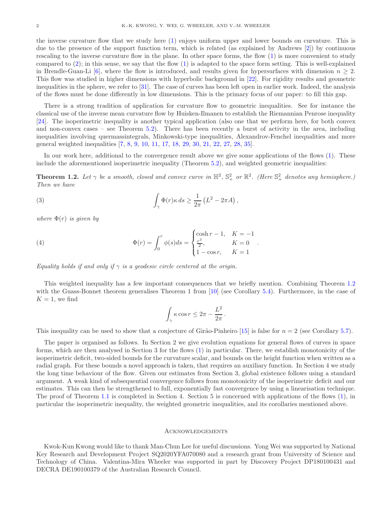the inverse curvature flow that we study here [\(1\)](#page-0-0) enjoys uniform upper and lower bounds on curvature. This is due to the presence of the support function term, which is related (as explained by Andrews [\[2](#page-15-0)]) by continuous rescaling to the inverse curvature flow in the plane. In other space forms, the flow [\(1\)](#page-0-0) is more convenient to study compared to  $(2)$ ; in this sense, we say that the flow  $(1)$  is adapted to the space form setting. This is well-explained in Brendle-Guan-Li [\[6\]](#page-15-6), where the flow is introduced, and results given for hypersurfaces with dimension  $n \geq 2$ . This flow was studied in higher dimensions with hyperbolic background in [\[22\]](#page-15-7). For rigidity results and geometric inequalities in the sphere, we refer to [\[31](#page-16-1)]. The case of curves has been left open in earlier work. Indeed, the analysis of the flows must be done differently in low dimensions. This is the primary focus of our paper: to fill this gap.

There is a strong tradition of application for curvature flow to geometric inequalities. See for instance the classical use of the inverse mean curvature flow by Huisken-Ilmanen to establish the Riemannian Penrose inequality [\[24](#page-15-8)]. The isoperimetric inequality is another typical application (also one that we perform here, for both convex and non-convex cases – see Theorem [5.2\)](#page-11-0). There has been recently a burst of activity in the area, including inequalities involving quermassintegrals, Minkowski-type inequalities, Alexandrov-Fenchel inequalities and more general weighted inequalities [\[7,](#page-15-9) [8,](#page-15-10) [9,](#page-15-11) [10,](#page-15-12) [11,](#page-15-13) [17,](#page-15-14) [18](#page-15-15), [29](#page-15-16), [30](#page-15-17), [21](#page-15-18), [22](#page-15-7), [27](#page-15-19), [28](#page-15-20), [35](#page-16-2)].

In our work here, additional to the convergence result above we give some applications of the flows [\(1\)](#page-0-0). These include the aforementioned isoperimetric inequality (Theorem [5.2\)](#page-11-0), and weighted geometric inequalities:

<span id="page-1-0"></span>**Theorem 1.2.** Let  $\gamma$  be a smooth, closed and convex curve in  $\mathbb{H}^2$ ,  $\mathbb{S}^2_+$  or  $\mathbb{R}^2$ . (Here  $\mathbb{S}^2_+$  denotes any hemisphere.) Then we have

<span id="page-1-2"></span>(3) 
$$
\int_{\gamma} \Phi(r) \kappa ds \geq \frac{1}{2\pi} \left( L^2 - 2\pi A \right),
$$

where  $\Phi(r)$  is given by

<span id="page-1-1"></span>(4) 
$$
\Phi(r) = \int_0^r \phi(s)ds = \begin{cases} \cosh r - 1, & K = -1 \\ \frac{r^2}{2}, & K = 0 \\ 1 - \cos r, & K = 1 \end{cases}
$$

Equality holds if and only if  $\gamma$  is a geodesic circle centered at the origin.

This weighted inequality has a few important consequences that we briefly mention. Combining Theorem [1.2](#page-1-0) with the Guass-Bonnet theorem generalises Theorem 1 from [\[10\]](#page-15-12) (see Corollary [5.4\)](#page-13-0). Furthermore, in the case of  $K = 1$ , we find

$$
\int_{\gamma} \kappa \cos r \leq 2\pi - \frac{L^2}{2\pi}.
$$

This inequality can be used to show that a conjecture of Girão-Pinheiro [\[15\]](#page-15-21) is false for  $n = 2$  (see Corollary [5.7\)](#page-14-0).

The paper is organised as follows. In Section 2 we give evolution equations for general flows of curves in space forms, which are then analysed in Section 3 for the flows [\(1\)](#page-0-0) in particular. There, we establish monotonicity of the isoperimetric deficit, two-sided bounds for the curvature scalar, and bounds on the height function when written as a radial graph. For these bounds a novel approach is taken, that requires an auxiliary function. In Section 4 we study the long time behaviour of the flow. Given our estimates from Section 3, global existence follows using a standard argument. A weak kind of subsequential convergence follows from monotonicity of the isoperimetric deficit and our estimates. This can then be strengthened to full, exponentially fast convergence by using a linearisation technique. The proof of Theorem [1.1](#page-0-2) is completed in Section 4. Section 5 is concerned with applications of the flows [\(1\)](#page-0-0), in particular the isoperimetric inequality, the weighted geometric inequalities, and its corollaries mentioned above.

#### Acknowledgements

Kwok-Kun Kwong would like to thank Man-Chun Lee for useful discussions. Yong Wei was supported by National Key Research and Development Project SQ2020YFA070080 and a research grant from University of Science and Technology of China. Valentina-Mira Wheeler was supported in part by Discovery Project DP180100431 and DECRA DE190100379 of the Australian Research Council.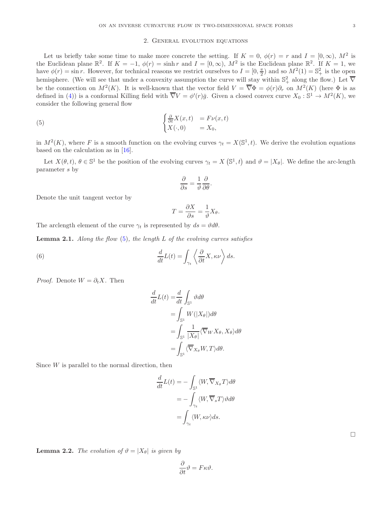# 2. General evolution equations

Let us briefly take some time to make more concrete the setting. If  $K = 0$ ,  $\phi(r) = r$  and  $I = [0, \infty)$ ,  $M^2$  is the Euclidean plane  $\mathbb{R}^2$ . If  $K = -1$ ,  $\phi(r) = \sinh r$  and  $I = [0, \infty)$ ,  $M^2$  is the Euclidean plane  $\mathbb{R}^2$ . If  $K = 1$ , we have  $\phi(r) = \sin r$ . However, for technical reasons we restrict ourselves to  $I = [0, \frac{\pi}{2})$  and so  $M^2(1) = \mathbb{S}^2_+$  is the open hemisphere. (We will see that under a convexity assumption the curve will stay within  $\mathbb{S}^2_+$  along the flow.) Let  $\overline{\nabla}$ be the connection on  $M^2(K)$ . It is well-known that the vector field  $V = \overline{\nabla} \Phi = \phi(r) \partial_r$  on  $M^2(K)$  (here  $\Phi$  is as defined in [\(4\)](#page-1-1)) is a conformal Killing field with  $\overline{\nabla}V = \phi'(r)\overline{g}$ . Given a closed convex curve  $X_0: \mathbb{S}^1 \to M^2(K)$ , we consider the following general flow

<span id="page-2-0"></span>(5) 
$$
\begin{cases} \frac{\partial}{\partial t} X(x,t) &= F\nu(x,t) \\ X(\cdot,0) &= X_0, \end{cases}
$$

in  $M^2(K)$ , where F is a smooth function on the evolving curves  $\gamma_t = X(\mathbb{S}^1, t)$ . We derive the evolution equations based on the calculation as in [\[16](#page-15-22)].

Let  $X(\theta, t)$ ,  $\theta \in \mathbb{S}^1$  be the position of the evolving curves  $\gamma_t = X(\mathbb{S}^1, t)$  and  $\vartheta = |X_{\theta}|$ . We define the arc-length parameter s by

$$
\frac{\partial}{\partial s}=\frac{1}{\vartheta}\frac{\partial}{\partial \theta}.
$$

Denote the unit tangent vector by

$$
T = \frac{\partial X}{\partial s} = \frac{1}{\vartheta} X_{\theta}.
$$

The arclength element of the curve  $\gamma_t$  is represented by  $ds = \vartheta d\theta$ .

**Lemma 2.1.** Along the flow  $(5)$ , the length L of the evolving curves satisfies

<span id="page-2-1"></span>(6) 
$$
\frac{d}{dt}L(t) = \int_{\gamma_t} \left\langle \frac{\partial}{\partial t} X, \kappa \nu \right\rangle ds.
$$

*Proof.* Denote  $W = \partial_t X$ . Then

$$
\frac{d}{dt}L(t) = \frac{d}{dt} \int_{\mathbb{S}^1} \vartheta d\theta
$$

$$
= \int_{\mathbb{S}^1} W(|X_{\theta}|) d\theta
$$

$$
= \int_{\mathbb{S}^1} \frac{1}{|X_{\theta}|} \langle \overline{\nabla}_W X_{\theta}, X_{\theta} \rangle d\theta
$$

$$
= \int_{\mathbb{S}^1} \langle \overline{\nabla}_{X_{\theta}} W, T \rangle d\theta.
$$

Since  $W$  is parallel to the normal direction, then

$$
\frac{d}{dt}L(t) = -\int_{\mathbb{S}^1} \langle W, \overline{\nabla}_{X_\theta} T \rangle d\theta
$$

$$
= -\int_{\gamma_t} \langle W, \overline{\nabla}_s T \rangle \vartheta d\theta
$$

$$
= \int_{\gamma_t} \langle W, \kappa \nu \rangle ds.
$$

 $\Box$ 

**Lemma 2.2.** The evolution of  $\vartheta = |X_{\theta}|$  is given by

$$
\frac{\partial}{\partial t}\vartheta = F\kappa\vartheta.
$$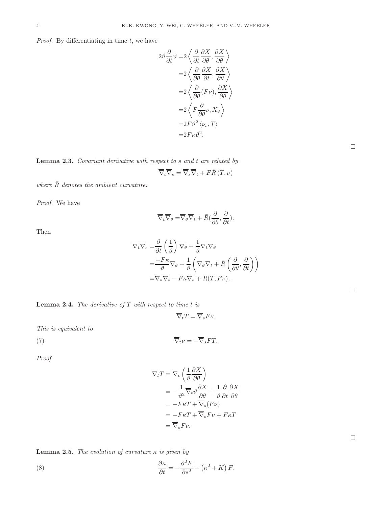*Proof.* By differentiating in time  $t$ , we have

$$
2\vartheta \frac{\partial}{\partial t} \vartheta = 2 \left\langle \frac{\partial}{\partial t} \frac{\partial X}{\partial \theta}, \frac{\partial X}{\partial \theta} \right\rangle
$$
  

$$
= 2 \left\langle \frac{\partial}{\partial \theta} \frac{\partial X}{\partial t}, \frac{\partial X}{\partial \theta} \right\rangle
$$
  

$$
= 2 \left\langle \frac{\partial}{\partial \theta} (F\nu), \frac{\partial X}{\partial \theta} \right\rangle
$$
  

$$
= 2 \left\langle F \frac{\partial}{\partial \theta} \nu, X_{\theta} \right\rangle
$$
  

$$
= 2F \vartheta^{2} \left\langle \nu_{s}, T \right\rangle
$$
  

$$
= 2F \kappa \vartheta^{2}.
$$

 $\Box$ 

 $\Box$ 

 $\Box$ 

Lemma 2.3. Covariant derivative with respect to s and t are related by

$$
\overline{\nabla}_{t}\overline{\nabla}_{s}=\overline{\nabla}_{s}\overline{\nabla}_{t}+F\overline{R}\left(T,\nu\right)
$$

where  $\bar{R}$  denotes the ambient curvature.

Proof. We have

$$
\overline{\nabla}_t \overline{\nabla}_\theta = \overline{\nabla}_\theta \overline{\nabla}_t + \overline{R} \left( \frac{\partial}{\partial \theta}, \frac{\partial}{\partial t} \right).
$$

Then

$$
\overline{\nabla}_{t}\overline{\nabla}_{s} = \frac{\partial}{\partial t} \left( \frac{1}{\vartheta} \right) \overline{\nabla}_{\theta} + \frac{1}{\vartheta} \overline{\nabla}_{t} \overline{\nabla}_{\theta}
$$
\n
$$
= \frac{-F\kappa}{\vartheta} \overline{\nabla}_{\theta} + \frac{1}{\vartheta} \left( \overline{\nabla}_{\theta} \overline{\nabla}_{t} + \overline{R} \left( \frac{\partial}{\partial \theta}, \frac{\partial}{\partial t} \right) \right)
$$
\n
$$
= \overline{\nabla}_{s} \overline{\nabla}_{t} - F\kappa \overline{\nabla}_{s} + \overline{R}(T, F\nu).
$$

| <b>Lemma 2.4.</b> The derivative of $T$ with respect to time $t$ is |  |  |  |  |  |  |  |  |  |
|---------------------------------------------------------------------|--|--|--|--|--|--|--|--|--|
|---------------------------------------------------------------------|--|--|--|--|--|--|--|--|--|

$$
\overline{\nabla}_t T = \overline{\nabla}_s F \nu.
$$

This is equivalent to

$$
\overline{\nabla}_t \nu = -\overline{\nabla}_s FT.
$$

Proof.

$$
\overline{\nabla}_t T = \overline{\nabla}_t \left( \frac{1}{\vartheta} \frac{\partial X}{\partial \theta} \right)
$$
  
=  $-\frac{1}{\vartheta^2} \overline{\nabla}_t \vartheta \frac{\partial X}{\partial \theta} + \frac{1}{\vartheta} \frac{\partial X}{\partial t} \frac{\partial X}{\partial \theta}$   
=  $-F\kappa T + \overline{\nabla}_s (F\nu)$   
=  $-F\kappa T + \overline{\nabla}_s F \nu + F\kappa T$   
=  $\overline{\nabla}_s F \nu$ .

**Lemma 2.5.** The evolution of curvature  $\kappa$  is given by

<span id="page-3-0"></span>(8) 
$$
\frac{\partial \kappa}{\partial t} = -\frac{\partial^2 F}{\partial s^2} - (\kappa^2 + K) F.
$$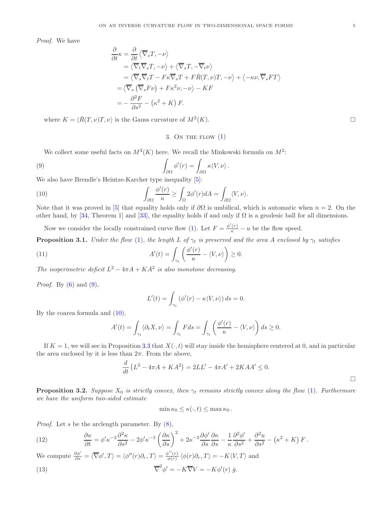Proof. We have

$$
\frac{\partial}{\partial t} \kappa = \frac{\partial}{\partial t} \langle \overline{\nabla}_s T, -\nu \rangle
$$
  
\n
$$
= \langle \overline{\nabla}_t \overline{\nabla}_s T, -\nu \rangle + \langle \overline{\nabla}_s T, -\overline{\nabla}_t \nu \rangle
$$
  
\n
$$
= \langle \overline{\nabla}_s \overline{\nabla}_t T - F \kappa \overline{\nabla}_s T + F \overline{R} (T, \nu) T, -\nu \rangle + \langle -\kappa \nu, \overline{\nabla}_s F T \rangle
$$
  
\n
$$
= \langle \overline{\nabla}_s (\overline{\nabla}_s F \nu) + F \kappa^2 \nu, -\nu \rangle - K F
$$
  
\n
$$
= -\frac{\partial^2 F}{\partial s^2} - (\kappa^2 + K) F.
$$

where  $K = \langle \bar{R}(T, \nu) T, \nu \rangle$  is the Gauss curvature of  $M^2(K)$ .  $(K).$ 

3. ON THE FLOW  $(1)$ 

We collect some useful facts on  $M^2(K)$  here. We recall the Minkowski formula on  $M^2$ :

<span id="page-4-0"></span>(9) 
$$
\int_{\partial\Omega} \phi'(r) = \int_{\partial\Omega} \kappa \langle V, \nu \rangle.
$$

We also have Brendle's Heintze-Karcher type inequality [\[5\]](#page-15-23):

<span id="page-4-1"></span>(10) 
$$
\int_{\partial\Omega} \frac{\phi'(r)}{\kappa} \ge \int_{\Omega} 2\phi'(r) dA = \int_{\partial\Omega} \langle V, \nu \rangle.
$$

Note that it was proved in [\[5](#page-15-23)] that equality holds only if  $\partial\Omega$  is umbilical, which is automatic when  $n = 2$ . On the other hand, by [\[34,](#page-16-3) Theorem 1] and [\[33](#page-16-4)], the equality holds if and only if  $\Omega$  is a geodesic ball for all dimensions.

Now we consider the locally constrained curve flow [\(1\)](#page-0-0). Let  $F = \frac{\phi'(r)}{\kappa} - u$  be the flow speed.

<span id="page-4-5"></span>**Proposition 3.1.** Under the flow [\(1\)](#page-0-0), the length L of  $\gamma_t$  is preserved and the area A enclosed by  $\gamma_t$  satisfies

(11) 
$$
A'(t) = \int_{\gamma_t} \left( \frac{\phi'(r)}{\kappa} - \langle V, \nu \rangle \right) \ge 0.
$$

The isoperimetric deficit  $L^2 - 4\pi A + KA^2$  is also monotone decreasing.

*Proof.* By  $(6)$  and  $(9)$ ,

<span id="page-4-6"></span>
$$
L'(t) = \int_{\gamma_t} (\phi'(r) - \kappa \langle V, \nu \rangle) ds = 0.
$$

By the coarea formula and [\(10\)](#page-4-1),

$$
A'(t) = \int_{\gamma_t} \langle \partial_t X, \nu \rangle = \int_{\gamma_t} F ds = \int_{\gamma_t} \left( \frac{\phi'(r)}{\kappa} - \langle V, \nu \rangle \right) ds \ge 0.
$$

If  $K = 1$ , we will see in Proposition [3.3](#page-5-0) that  $X(\cdot, t)$  will stay inside the hemisphere centered at 0, and in particular the area enclosed by it is less than  $2\pi$ . From the above,

$$
\frac{d}{dt}\left(L^2 - 4\pi A + KA^2\right) = 2LL' - 4\pi A' + 2KAA' \le 0.
$$

<span id="page-4-4"></span>**Proposition 3.2.** Suppose  $X_0$  is strictly convex, then  $\gamma_t$  remains strictly convex along the flow [\(1\)](#page-0-0). Furthermore we have the uniform two-sided estimate

<span id="page-4-2"></span> $\min \kappa_0 \leq \kappa(\cdot, t) \leq \max \kappa_0$ .

*Proof.* Let  $s$  be the arclength parameter. By  $(8)$ ,

<span id="page-4-3"></span>(12) 
$$
\frac{\partial \kappa}{\partial t} = \phi' \kappa^{-2} \frac{\partial^2 \kappa}{\partial s^2} - 2\phi' \kappa^{-3} \left(\frac{\partial \kappa}{\partial s}\right)^2 + 2\kappa^{-2} \frac{\partial \phi'}{\partial s} \frac{\partial \kappa}{\partial s} - \frac{1}{\kappa} \frac{\partial^2 \phi'}{\partial s^2} + \frac{\partial^2 u}{\partial s^2} - (\kappa^2 + K) F.
$$

We compute  $\frac{\partial \phi'}{\partial s} = \langle \overline{\nabla} \phi', T \rangle = \langle \phi''(r) \partial_r, T \rangle = \frac{\phi''(r)}{\phi(r)}$  $\frac{\partial^{\rho}(T)}{\phi(r)} \langle \phi(r) \partial_r, T \rangle = -K \langle V, T \rangle$  and

(13) 
$$
\overline{\nabla}^2 \phi' = -K \overline{\nabla} V = -K \phi'(r) \bar{g}.
$$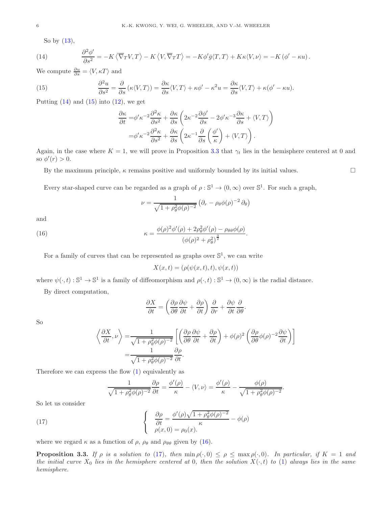So by [\(13\)](#page-4-2),

<span id="page-5-1"></span>(14) 
$$
\frac{\partial^2 \phi'}{\partial s^2} = -K \langle \overline{\nabla}_T V, T \rangle - K \langle V, \overline{\nabla}_T T \rangle = -K \phi' \overline{g} \langle T, T \rangle + K \kappa \langle V, \nu \rangle = -K (\phi' - \kappa u).
$$

We compute  $\frac{\partial u}{\partial s} = \langle V, \kappa T \rangle$  and

<span id="page-5-2"></span>(15) 
$$
\frac{\partial^2 u}{\partial s^2} = \frac{\partial}{\partial s} (\kappa \langle V, T \rangle) = \frac{\partial \kappa}{\partial s} \langle V, T \rangle + \kappa \phi' - \kappa^2 u = \frac{\partial \kappa}{\partial s} \langle V, T \rangle + \kappa (\phi' - \kappa u).
$$

Putting  $(14)$  and  $(15)$  into  $(12)$ , we get

$$
\frac{\partial \kappa}{\partial t} = \phi' \kappa^{-2} \frac{\partial^2 \kappa}{\partial s^2} + \frac{\partial \kappa}{\partial s} \left( 2\kappa^{-2} \frac{\partial \phi'}{\partial s} - 2\phi' \kappa^{-3} \frac{\partial \kappa}{\partial s} + \langle V, T \rangle \right)
$$

$$
= \phi' \kappa^{-2} \frac{\partial^2 \kappa}{\partial s^2} + \frac{\partial \kappa}{\partial s} \left( 2\kappa^{-1} \frac{\partial}{\partial s} \left( \frac{\phi'}{\kappa} \right) + \langle V, T \rangle \right).
$$

Again, in the case where  $K = 1$ , we will prove in Proposition [3.3](#page-5-0) that  $\gamma_t$  lies in the hemisphere centered at 0 and so  $\phi'(r) > 0$ .

By the maximum principle,  $\kappa$  remains positive and uniformly bounded by its initial values.

Every star-shaped curve can be regarded as a graph of  $\rho : \mathbb{S}^1 \to (0, \infty)$  over  $\mathbb{S}^1$ . For such a graph,

$$
\nu = \frac{1}{\sqrt{1 + \rho_\theta^2 \phi(\rho)^{-2}}} \left( \partial_r - \rho_\theta \phi(\rho)^{-2} \partial_\theta \right)
$$

and

<span id="page-5-3"></span>(16) 
$$
\kappa = \frac{\phi(\rho)^2 \phi'(\rho) + 2\rho_\theta^2 \phi'(\rho) - \rho_{\theta\theta} \phi(\rho)}{(\phi(\rho)^2 + \rho_\theta^2)^{\frac{3}{2}}}.
$$

For a family of curves that can be represented as graphs over  $\mathbb{S}^1$ , we can write

$$
X(x,t) = (\rho(\psi(x,t),t), \psi(x,t))
$$

where  $\psi(\cdot,t): \mathbb{S}^1 \to \mathbb{S}^1$  is a family of diffeomorphism and  $\rho(\cdot,t): \mathbb{S}^1 \to (0,\infty)$  is the radial distance.

By direct computation,

$$
\frac{\partial X}{\partial t} = \left(\frac{\partial \rho}{\partial \theta} \frac{\partial \psi}{\partial t} + \frac{\partial \rho}{\partial t}\right) \frac{\partial}{\partial r} + \frac{\partial \psi}{\partial t} \frac{\partial}{\partial \theta}.
$$

So

$$
\left\langle \frac{\partial X}{\partial t}, \nu \right\rangle = \frac{1}{\sqrt{1 + \rho_\theta^2 \phi(\rho)^{-2}}} \left[ \left( \frac{\partial \rho}{\partial \theta} \frac{\partial \psi}{\partial t} + \frac{\partial \rho}{\partial t} \right) + \phi(\rho)^2 \left( \frac{\partial \rho}{\partial \theta} \phi(\rho)^{-2} \frac{\partial \psi}{\partial t} \right) \right]
$$
  
= 
$$
\frac{1}{\sqrt{1 + \rho_\theta^2 \phi(\rho)^{-2}}} \frac{\partial \rho}{\partial t}.
$$

Therefore we can express the flow [\(1\)](#page-0-0) equivalently as

<span id="page-5-4"></span>
$$
\frac{1}{\sqrt{1+\rho_{\theta}^2\phi(\rho)^{-2}}}\frac{\partial \rho}{\partial t} = \frac{\phi'(\rho)}{\kappa} - \langle V, \nu \rangle = \frac{\phi'(\rho)}{\kappa} - \frac{\phi(\rho)}{\sqrt{1+\rho_{\theta}^2\phi(\rho)^{-2}}}.
$$

So let us consider

(17) 
$$
\begin{cases} \frac{\partial \rho}{\partial t} = \frac{\phi'(\rho)\sqrt{1 + \rho_{\theta}^2 \phi(\rho)^{-2}}}{\kappa} - \phi(\rho) \\ \rho(x, 0) = \rho_0(x). \end{cases}
$$

where we regard  $\kappa$  as a function of  $\rho$ ,  $\rho_{\theta}$  and  $\rho_{\theta\theta}$  given by [\(16\)](#page-5-3).

<span id="page-5-0"></span>**Proposition 3.3.** If  $\rho$  is a solution to [\(17\)](#page-5-4), then  $\min \rho(\cdot, 0) \leq \rho \leq \max \rho(\cdot, 0)$ . In particular, if  $K = 1$  and the initial curve  $X_0$  lies in the hemisphere centered at 0, then the solution  $X(\cdot,t)$  to [\(1\)](#page-0-0) always lies in the same hemisphere.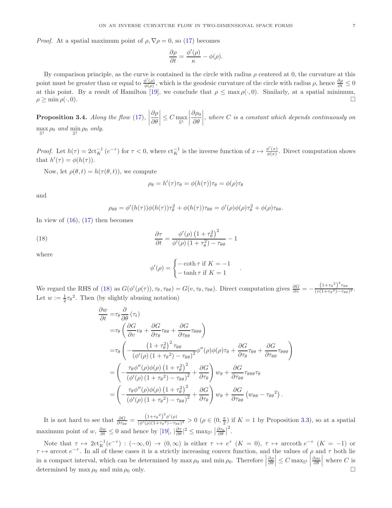*Proof.* At a spatial maximum point of  $\rho, \nabla \rho = 0$ , so [\(17\)](#page-5-4) becomes

$$
\frac{\partial \rho}{\partial t} = \frac{\phi'(\rho)}{\kappa} - \phi(\rho).
$$

By comparison principle, as the curve is contained in the circle with radius  $\rho$  centered at 0, the curvature at this point must be greater than or equal to  $\frac{\phi'(\rho)}{\phi(\rho)}$  $\frac{\phi'(\rho)}{\phi(\rho)}$ , which is the geodesic curvature of the circle with radius  $\rho$ , hence  $\frac{\partial \rho}{\partial t} \leq 0$ at this point. By a result of Hamilton [\[19\]](#page-15-24), we conclude that  $\rho \leq \max \rho(\cdot, 0)$ . Similarly, at a spatial minimum,  $\rho > \min \rho(\cdot, 0)$ .  $\rho \ge \min \rho(\cdot, 0).$ 

<span id="page-6-1"></span>**Proposition 3.4.** Along the flow [\(17\)](#page-5-4), ∂ρ ∂θ  $\left| \leq C \max_{\mathbb{S}^1} \right|$  $\begin{array}{c} \hline \end{array}$  $\partial \rho_0$ ∂θ  $\begin{array}{c} \begin{array}{c} \begin{array}{c} \end{array} \\ \begin{array}{c} \end{array} \end{array} \end{array}$ , where C is a constant which depends continuously on  $\max_{\mathbb{S}^1} \rho_0$  and  $\min_{\mathbb{S}^1} \rho_0$  only.

*Proof.* Let  $h(\tau) = 2ct_K^{-1}(e^{-\tau})$  for  $\tau < 0$ , where  $ct_K^{-1}$  is the inverse function of  $x \mapsto \frac{\phi'(x)}{\phi(x)}$  $\frac{\varphi(x)}{\phi(x)}$ . Direct computation shows that  $h'(\tau) = \phi(h(\tau)).$ 

Now, let  $\rho(\theta, t) = h(\tau(\theta, t))$ , we compute

$$
\rho_{\theta} = h'(\tau)\tau_{\theta} = \phi(h(\tau))\tau_{\theta} = \phi(\rho)\tau_{\theta}
$$

and

$$
\rho_{\theta\theta} = \phi'(h(\tau))\phi(h(\tau))\tau_{\theta}^2 + \phi(h(\tau))\tau_{\theta\theta} = \phi'(\rho)\phi(\rho)\tau_{\theta}^2 + \phi(\rho)\tau_{\theta\theta}.
$$

In view of  $(16)$ ,  $(17)$  then becomes

<span id="page-6-0"></span>(18) 
$$
\frac{\partial \tau}{\partial t} = \frac{\phi'(\rho) (1 + \tau_{\theta}^2)^2}{\phi'(\rho) (1 + \tau_{\theta}^2) - \tau_{\theta\theta}} - 1
$$

where

$$
\phi'(\rho) = \begin{cases} -\coth \tau \text{ if } K = -1 \\ -\tanh \tau \text{ if } K = 1 \end{cases}
$$

.

We regard the RHS of [\(18\)](#page-6-0) as  $G(\phi'(\rho(\tau)), \tau_{\theta}, \tau_{\theta\theta}) = G(v, \tau_{\theta}, \tau_{\theta\theta})$ . Direct computation gives  $\frac{\partial G}{\partial v} = -\frac{(1+\tau_{\theta}^2)^2 \tau_{\theta\theta}}{(v(1+\tau_{\theta}^2)-\tau_{\theta\theta}^2)}$  $\frac{\left(\frac{1+\tau_{\theta}}{\sigma}\right)+\theta\theta}{\left(v(1+\tau_{\theta}^2)-\tau_{\theta\theta}\right)^2}.$ Let  $w := \frac{1}{2}\tau_{\theta}^2$ . Then (by slightly abusing notation)

$$
\frac{\partial w}{\partial t} = \tau_{\theta} \frac{\partial}{\partial \theta} (\tau_{t})
$$
\n
$$
= \tau_{\theta} \left( \frac{\partial G}{\partial v} v_{\theta} + \frac{\partial G}{\partial \tau_{\theta}} \tau_{\theta \theta} + \frac{\partial G}{\partial \tau_{\theta \theta}} \tau_{\theta \theta \theta} \right)
$$
\n
$$
= \tau_{\theta} \left( -\frac{\left(1 + \tau_{\theta}^{2}\right)^{2} \tau_{\theta \theta}}{\left(\phi'(\rho)\left(1 + \tau_{\theta}^{2}\right) - \tau_{\theta \theta}\right)^{2}} \phi''(\rho) \phi(\rho) \tau_{\theta} + \frac{\partial G}{\partial \tau_{\theta}} \tau_{\theta \theta} + \frac{\partial G}{\partial \tau_{\theta \theta}} \tau_{\theta \theta \theta} \right)
$$
\n
$$
= \left( -\frac{\tau_{\theta} \phi''(\rho) \phi(\rho) \left(1 + \tau_{\theta}^{2}\right)^{2}}{\left(\phi'(\rho)\left(1 + \tau_{\theta}^{2}\right) - \tau_{\theta \theta}\right)^{2}} + \frac{\partial G}{\partial \tau_{\theta}} \right) w_{\theta} + \frac{\partial G}{\partial \tau_{\theta \theta}} \tau_{\theta \theta \theta} \tau_{\theta}
$$
\n
$$
= \left( -\frac{\tau_{\theta} \phi''(\rho) \phi(\rho) \left(1 + \tau_{\theta}^{2}\right)^{2}}{\left(\phi'(\rho)\left(1 + \tau_{\theta}^{2}\right) - \tau_{\theta \theta}\right)^{2}} + \frac{\partial G}{\partial \tau_{\theta}} \right) w_{\theta} + \frac{\partial G}{\partial \tau_{\theta \theta}} \left( w_{\theta \theta} - \tau_{\theta \theta}^{2} \right).
$$

It is not hard to see that  $\frac{\partial G}{\partial \tau_{\theta\theta}} = \frac{(1+\tau_{\theta}^2)^2 \phi'(\rho)}{(\phi'(\rho)(1+\tau_{\theta}^2)-\tau_{\theta}^2)}$  $\frac{(1+\tau_{\theta})\phi(\rho)}{(\phi'(\rho)(1+\tau_{\theta}^2)-\tau_{\theta\theta})^2} > 0$  ( $\rho \in (0,\frac{\pi}{2})$  if  $K=1$  by Proposition [3.3\)](#page-5-0), so at a spatial maximum point of  $w, \frac{\partial w}{\partial t} \leq 0$  and hence by  $[19], |\frac{\partial \tau}{\partial \theta}|^2 \leq \max_{\mathbb{S}^1} |\frac{\partial \tau_0}{\partial \theta}|$ 2 .

Note that  $\tau \mapsto 2ct_K^{-1}(e^{-\tau}) : (-\infty, 0) \to (0, \infty)$  is either  $\tau \mapsto e^{\tau}$   $(K = 0)$ ,  $\tau \mapsto \arccoth e^{-\tau}$   $(K = -1)$  or  $\tau \mapsto \arccot e^{-\tau}$ . In all of these cases it is a strictly increasing convex function, and the values of  $\rho$  and  $\tau$  both lie in a compact interval, which can be determined by  $\max \rho_0$  and  $\min \rho_0$ . Therefore  $\left| \frac{\partial \rho}{\partial \theta} \right| \leq C \max_{\mathbb{S}^1} \left|$  $\frac{\partial \rho_0}{\partial \theta}$  where C is determined by max  $\rho_0$  and min  $\rho_0$  only.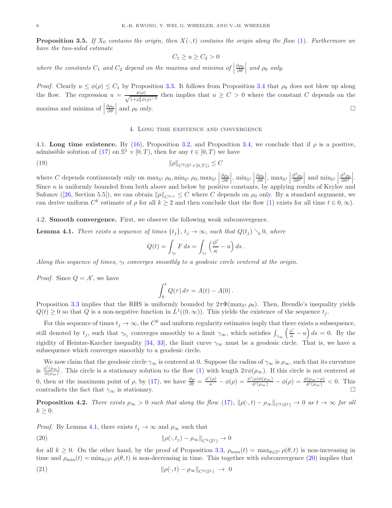**Proposition 3.5.** If  $X_0$  contains the origin, then  $X(\cdot, t)$  contains the origin along the flow [\(1\)](#page-0-0). Furthermore we have the two-sided estimate

$$
C_1 \ge u \ge C_2 > 0
$$

where the constants  $C_1$  and  $C_2$  depend on the maxima and minima of  $\Big|$  $\frac{\partial \rho_0}{\partial \theta}$  and  $\rho_0$  only.

*Proof.* Clearly  $u \leq \phi(\rho) \leq C_1$  by Proposition [3.3.](#page-5-0) It follows from Proposition [3.4](#page-6-1) that  $\rho_\theta$  does not blow up along the flow. The expression  $u = \frac{\phi(\rho)}{\sqrt{1 + \rho^2 \phi}}$  $\frac{\varphi(\rho)}{1+\rho_{\theta}^2\phi(\rho)^{-2}}$  then implies that  $u \geq C > 0$  where the constant C depends on the maxima and minima of  $\vert$  $\partial \rho_0 \over \partial \theta}$  and  $\rho_0$  only.

### 4. Long time existence and convergence

<span id="page-7-2"></span>4.1. Long time existence. By [\(16\)](#page-5-3), Proposition [3.2,](#page-4-4) and Proposition [3.4,](#page-6-1) we conclude that if  $\rho$  is a positive, admissible solution of [\(17\)](#page-5-4) on  $\mathbb{S}^1 \times [0,T)$ , then for any  $t \in [0,T)$  we have

(19) 
$$
\|\rho\|_{C^2(\mathbb{S}^1 \times [0,T))} \leq C
$$

where C depends continuously only on  $\max_{\mathbb{S}^1} \rho_0$ ,  $\min_{\mathbb{S}^1} \rho_0$ ,  $\max_{\mathbb{S}^1}$  $\frac{\partial \rho_0}{\partial \theta}$ , min<sub>S<sup>1</sub></sup></sub>  $\frac{\partial \rho_0}{\partial \theta}$ , max<sub>S<sup>1</sub></sup></sub>  $\frac{\partial^2 \rho_0}{\partial \theta^2}$  and  $\min_{S^1}$  $\frac{\partial^2 \rho_0}{\partial \theta^2} \Bigg|_1$ Since  $\kappa$  is uniformly bounded from both above and below by positive constants, by applying results of Krylov and Safonov ([\[26,](#page-15-25) Section 5.5]), we can obtain  $\|\rho\|_{C^{2,\alpha}} \leq C$  where C depends on  $\rho_0$  only. By a standard argument, we can derive uniform  $C^k$  estimate of  $\rho$  for all  $k \geq 2$  and then conclude that the flow [\(1\)](#page-0-0) exists for all time  $t \in 0, \infty$ ).

4.2. Smooth convergence. First, we observe the following weak subconvergence.

<span id="page-7-0"></span>**Lemma 4.1.** There exists a sequence of times  $\{t_i\}$ ,  $t_i \to \infty$ , such that  $Q(t_i) \searrow 0$ , where

$$
Q(t) = \int_{\gamma_t} F ds = \int_{\gamma_t} \left(\frac{\phi'}{\kappa} - u\right) ds.
$$

Along this sequence of times,  $\gamma_t$  converges smoothly to a geodesic circle centered at the origin.

*Proof.* Since  $Q = A'$ , we have

$$
\int_0^t Q(\tau) d\tau = A(t) - A(0).
$$

Proposition [3.3](#page-5-0) implies that the RHS is uniformly bounded by  $2\pi\Phi(\max_{S^1} \rho_0)$ . Then, Brendle's inequality yields  $Q(t) \geq 0$  so that Q is a non-negative function in  $L^1((0,\infty))$ . This yields the existence of the sequence  $t_j$ .

For this sequence of times  $t_j \to \infty$ , the  $C^0$  and uniform regularity estimates imply that there exists a subsequence, still denoted by  $t_j$ , such that  $\gamma_{t_j}$  converges smoothly to a limit  $\gamma_{\infty}$ , which satisfies  $\int_{\gamma_{\infty}} \left( \frac{\phi'}{\kappa} - u \right) ds = 0$ . By the rigidity of Heintze-Karcher inequality [\[34,](#page-16-3) [33](#page-16-4)], the limit curve  $\gamma_{\infty}$  must be a geodesic circle. That is, we have a subsequence which converges smoothly to a geodesic circle.

We now claim that the geodesic circle  $\gamma_{\infty}$  is centered at 0. Suppose the radius of  $\gamma_{\infty}$  is  $\rho_{\infty}$ , such that its curvature is  $\frac{\phi'(\rho_{\infty})}{\phi(\rho_{\infty})}$  $\frac{\partial (\rho_{\infty})}{\partial (\rho_{\infty})}$ . This circle is a stationary solution to the flow [\(1\)](#page-0-0) with length  $2\pi\phi(\rho_{\infty})$ . If this circle is not centered at 0, then at the maximum point of ρ, by [\(17\)](#page-5-4), we have  $\frac{\partial \rho}{\partial t} = \frac{\phi'(\rho)}{\kappa} - \phi(\rho) = \frac{\phi'(\rho)\phi(\rho_{\infty})}{\phi'(\rho_{\infty})} - \phi(\rho) = \frac{\phi(\rho_{\infty} - \rho)}{\phi'(\rho_{\infty})} < 0$ . This contradicts the fact that  $\gamma_{\infty}$  is stationary.

**Proposition 4.2.** There exists  $\rho_{\infty} > 0$  such that along the flow [\(17\)](#page-5-4),  $\|\rho(\cdot,t) - \rho_{\infty}\|_{C^{k}(\mathbb{S}^{1})} \to 0$  as  $t \to \infty$  for all  $k \geq 0$ .

*Proof.* By Lemma [4.1,](#page-7-0) there exists  $t_j \to \infty$  and  $\rho_{\infty}$  such that

<span id="page-7-1"></span>(20) 
$$
\|\rho(\cdot,t_j)-\rho_\infty\|_{C^k(\mathbb{S}^1)}\to 0
$$

for all  $k \geq 0$ . On the other hand, by the proof of Proposition [3.3,](#page-5-0)  $\rho_{\text{max}}(t) = \max_{\theta \in \mathbb{S}^1} \rho(\theta, t)$  is non-increasing in time and  $\rho_{\min}(t) = \min_{\theta \in \mathbb{S}^1} \rho(\theta, t)$  is non-decreasing in time. This together with subconvergence [\(20\)](#page-7-1) implies that

<span id="page-7-3"></span>(21) 
$$
\|\rho(\cdot,t)-\rho_{\infty}\|_{C^0(\mathbb{S}^1)} \to 0
$$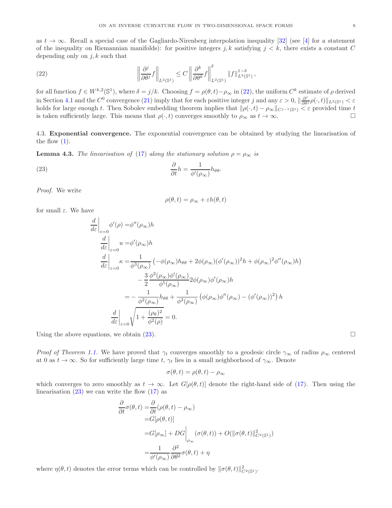as  $t \to \infty$ . Recall a special case of the Gagliardo-Nirenberg interpolation inequality [\[32\]](#page-16-5) (see [\[4\]](#page-15-26) for a statement of the inequality on Riemannian manifolds): for positive integers j, k satisfying  $j < k$ , there exists a constant C depending only on  $j, k$  such that

<span id="page-8-0"></span>(22) 
$$
\left\|\frac{\partial^j}{\partial \theta^j} f\right\|_{L^2(\mathbb{S}^1)} \leq C \left\|\frac{\partial^k}{\partial \theta^k} f\right\|_{L^2(\mathbb{S}^1)}^{\delta} \|f\|_{L^2(\mathbb{S}^1)}^{1-\delta},
$$

for all function  $f \in W^{k,2}(\mathbb{S}^1)$ , where  $\delta = j/k$ . Choosing  $f = \rho(\theta, t) - \rho_\infty$  in [\(22\)](#page-8-0), the uniform  $C^k$  estimate of  $\rho$  derived in Section [4.1](#page-7-2) and the  $C^0$  convergence [\(21\)](#page-7-3) imply that for each positive integer j and any  $\varepsilon > 0$ ,  $\|\frac{\partial^j}{\partial \theta^j} \rho(\cdot, t)\|_{L^2(\mathbb{S}^1)} < \varepsilon$ holds for large enough t. Then Sobolev embedding theorem implies that  $\|\rho(\cdot,t) - \rho_\infty\|_{C^{j-1}(\mathbb{S}^1)} < \varepsilon$  provided time t is taken sufficiently large. This means that  $\rho(\cdot,t)$  converges smoothly to  $\rho_{\infty}$  as  $t \to \infty$ .

4.3. Exponential convergence. The exponential convergence can be obtained by studying the linearisation of the flow  $(1)$ .

**Lemma 4.3.** The linearisation of [\(17\)](#page-5-4) along the stationary solution  $\rho = \rho_{\infty}$  is

(23) 
$$
\frac{\partial}{\partial t}h = \frac{1}{\phi'(\rho_{\infty})}h_{\theta\theta}.
$$

Proof. We write

<span id="page-8-1"></span>
$$
\rho(\theta, t) = \rho_{\infty} + \varepsilon h(\theta, t)
$$

for small  $\varepsilon$ . We have

$$
\frac{d}{d\varepsilon}\Big|_{\varepsilon=0} \phi'(\rho) = \phi''(\rho_{\infty})h
$$
  
\n
$$
\frac{d}{d\varepsilon}\Big|_{\varepsilon=0} u = \phi'(\rho_{\infty})h
$$
  
\n
$$
\frac{d}{d\varepsilon}\Big|_{\varepsilon=0} \kappa = \frac{1}{\phi^3(\rho_{\infty})} \left( -\phi(\rho_{\infty})h_{\theta\theta} + 2\phi(\rho_{\infty})(\phi'(\rho_{\infty}))^2 h + \phi(\rho_{\infty})^2 \phi''(\rho_{\infty})h \right)
$$
  
\n
$$
- \frac{3}{2} \frac{\phi^2(\rho_{\infty})\phi'(\rho_{\infty})}{\phi^5(\rho_{\infty})} 2\phi(\rho_{\infty})\phi'(\rho_{\infty})h
$$
  
\n
$$
= -\frac{1}{\phi^2(\rho_{\infty})} h_{\theta\theta} + \frac{1}{\phi^2(\rho_{\infty})} (\phi(\rho_{\infty})\phi''(\rho_{\infty}) - (\phi'(\rho_{\infty}))^2) h
$$
  
\n
$$
\frac{d}{d\varepsilon}\Big|_{\varepsilon=0} \sqrt{1 + \frac{(\rho_{\theta})^2}{\phi^2(\rho)}} = 0.
$$

Using the above equations, we obtain  $(23)$ .

∂

Proof of Theorem [1.1.](#page-0-2) We have proved that  $\gamma_t$  converges smoothly to a geodesic circle  $\gamma_\infty$  of radius  $\rho_\infty$  centered at 0 as  $t \to \infty$ . So for sufficiently large time t,  $\gamma_t$  lies in a small neighborhood of  $\gamma_\infty$ . Denote

$$
\sigma(\theta, t) = \rho(\theta, t) - \rho_{\infty}
$$

which converges to zero smoothly as  $t \to \infty$ . Let  $G[\rho(\theta, t)]$  denote the right-hand side of [\(17\)](#page-5-4). Then using the linearisation  $(23)$  we can write the flow  $(17)$  as

$$
\frac{\partial}{\partial t}\sigma(\theta, t) = \frac{\partial}{\partial t} (\rho(\theta, t) - \rho_{\infty})
$$
  
\n=  $G[\rho(\theta, t)]$   
\n=  $G[\rho_{\infty}] + DG \Big|_{\rho_{\infty}} (\sigma(\theta, t)) + O(\|\sigma(\theta, t)\|_{C^2(\mathbb{S}^1)}^2)$   
\n=  $\frac{1}{\phi'(\rho_{\infty})} \frac{\partial^2}{\partial \theta^2} \sigma(\theta, t) + \eta$ 

where  $\eta(\theta, t)$  denotes the error terms which can be controlled by  $\|\sigma(\theta, t)\|_{C^2(\mathbb{S}^1)}^2$ .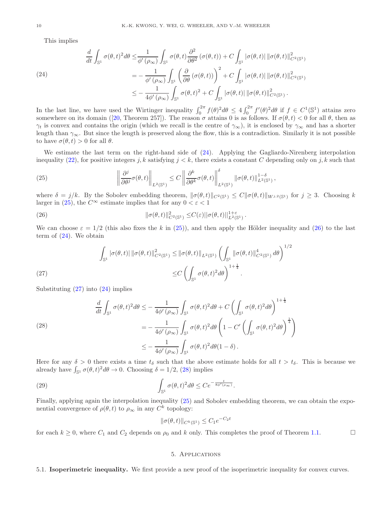This implies

<span id="page-9-0"></span>(24)  

$$
\frac{d}{dt} \int_{\mathbb{S}^1} \sigma(\theta, t)^2 d\theta \le \frac{1}{\phi'(\rho_{\infty})} \int_{\mathbb{S}^1} \sigma(\theta, t) \frac{\partial^2}{\partial \theta^2} (\sigma(\theta, t)) + C \int_{\mathbb{S}^1} |\sigma(\theta, t)| \|\sigma(\theta, t)\|_{C^2(\mathbb{S}^1)}^2
$$

$$
= -\frac{1}{\phi'(\rho_{\infty})} \int_{\mathbb{S}^1} \left(\frac{\partial}{\partial \theta} (\sigma(\theta, t))\right)^2 + C \int_{\mathbb{S}^1} |\sigma(\theta, t)| \|\sigma(\theta, t)\|_{C^2(\mathbb{S}^1)}^2
$$

$$
\le -\frac{1}{4\phi'(\rho_{\infty})} \int_{\mathbb{S}^1} \sigma(\theta, t)^2 + C \int_{\mathbb{S}^1} |\sigma(\theta, t)| \|\sigma(\theta, t)\|_{C^2(\mathbb{S}^1)}^2.
$$

In the last line, we have used the Wirtinger inequality  $\int_0^{2\pi} f(\theta)^2 d\theta \leq 4 \int_0^{2\pi} f'(\theta)^2 d\theta$  if  $f \in C^1(\mathbb{S}^1)$  attains zero somewhere on its domain ([\[20,](#page-15-27) Theorem 257]). The reason  $\sigma$  attains 0 is as follows. If  $\sigma(\theta, t) < 0$  for all  $\theta$ , then as  $\gamma_t$  is convex and contains the origin (which we recall is the centre of  $\gamma_\infty$ ), it is enclosed by  $\gamma_\infty$  and has a shorter length than  $\gamma_{\infty}$ . But since the length is preserved along the flow, this is a contradiction. Similarly it is not possible to have  $\sigma(\theta, t) > 0$  for all  $\theta$ .

We estimate the last term on the right-hand side of [\(24\)](#page-9-0). Applying the Gagliardo-Nirenberg interpolation inequality [\(22\)](#page-8-0), for positive integers j, k satisfying  $j < k$ , there exists a constant C depending only on j, k such that

<span id="page-9-1"></span>(25) 
$$
\left\|\frac{\partial^j}{\partial\theta^j}\sigma(\theta,t)\right\|_{L^2(\mathbb{S}^1)} \leq C \left\|\frac{\partial^k}{\partial\theta^k}\sigma(\theta,t)\right\|_{L^2(\mathbb{S}^1)}^{\delta} \|\sigma(\theta,t)\|_{L^2(\mathbb{S}^1)}^{1-\delta},
$$

where  $\delta = j/k$ . By the Sobolev embedding theorem,  $\|\sigma(\theta, t)\|_{C^2(\mathbb{S}^1)} \leq C \|\sigma(\theta, t)\|_{W^{j,2}(\mathbb{S}^1)}$  for  $j \geq 3$ . Choosing k larger in [\(25\)](#page-9-1), the  $C^{\infty}$  estimate implies that for any  $0 < \varepsilon < 1$ 

<span id="page-9-2"></span>(26) 
$$
\|\sigma(\theta,t)\|_{C^2(\mathbb{S}^1)}^2 \leq C(\varepsilon) \|\sigma(\theta,t)\|_{L^2(\mathbb{S}^1)}^{1+\varepsilon}.
$$

We can choose  $\varepsilon = 1/2$  (this also fixes the k in [\(25\)](#page-9-1)), and then apply the Hölder inequality and [\(26\)](#page-9-2) to the last term of  $(24)$ . We obtain

(27) 
$$
\int_{\mathbb{S}^1} |\sigma(\theta, t)| \|\sigma(\theta, t)\|_{C^2(\mathbb{S}^1)}^2 \leq \|\sigma(\theta, t)\|_{L^2(\mathbb{S}^1)} \left(\int_{\mathbb{S}^1} \|\sigma(\theta, t)\|_{C^2(\mathbb{S}^1)}^4 d\theta\right)^{1/2} \leq C \left(\int_{\mathbb{S}^1} \sigma(\theta, t)^2 d\theta\right)^{1+\frac{1}{4}}.
$$

<span id="page-9-3"></span>Substituting  $(27)$  into  $(24)$  implies

<span id="page-9-4"></span>(28)  
\n
$$
\frac{d}{dt} \int_{\mathbb{S}^1} \sigma(\theta, t)^2 d\theta \leq -\frac{1}{4\phi'(\rho_{\infty})} \int_{\mathbb{S}^1} \sigma(\theta, t)^2 d\theta + C \left( \int_{\mathbb{S}^1} \sigma(\theta, t)^2 d\theta \right)^{1 + \frac{1}{4}}
$$
\n
$$
= -\frac{1}{4\phi'(\rho_{\infty})} \int_{\mathbb{S}^1} \sigma(\theta, t)^2 d\theta \left( 1 - C' \left( \int_{\mathbb{S}^1} \sigma(\theta, t)^2 d\theta \right)^{\frac{1}{4}} \right)
$$
\n
$$
\leq -\frac{1}{4\phi'(\rho_{\infty})} \int_{\mathbb{S}^1} \sigma(\theta, t)^2 d\theta (1 - \delta).
$$

Here for any  $\delta > 0$  there exists a time  $t_{\delta}$  such that the above estimate holds for all  $t > t_{\delta}$ . This is because we already have  $\int_{\mathbb{S}^1} \sigma(\theta, t)^2 d\theta \to 0$ . Choosing  $\delta = 1/2$ , [\(28\)](#page-9-4) implies

(29) 
$$
\int_{\mathbb{S}^1} \sigma(\theta, t)^2 d\theta \leq C e^{-\frac{t}{8\phi'(\rho_\infty)}}.
$$

Finally, applying again the interpolation inequality [\(25\)](#page-9-1) and Sobolev embedding theorem, we can obtain the exponential convergence of  $\rho(\theta, t)$  to  $\rho_{\infty}$  in any  $C^k$  topology:

$$
\|\sigma(\theta, t)\|_{C^k(\mathbb{S}^1)} \le C_1 e^{-C_2 t}
$$

for each  $k \geq 0$ , where  $C_1$  and  $C_2$  depends on  $\rho_0$  and k only. This completes the proof of Theorem [1.1.](#page-0-2)

## 5. Applications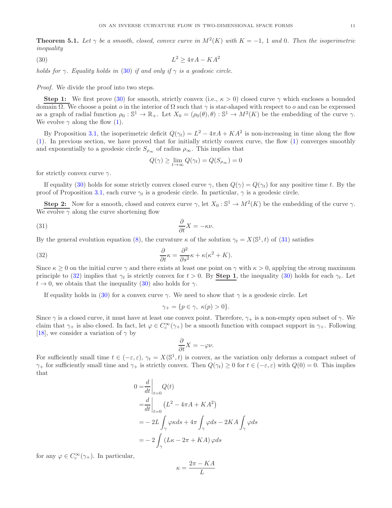<span id="page-10-3"></span>**Theorem 5.1.** Let  $\gamma$  be a smooth, closed, convex curve in  $M^2(K)$  with  $K = -1$ , 1 and 0. Then the isoperimetric inequality

$$
(30)\t\t\t\t L^2 \ge 4\pi A - KA^2
$$

holds for  $\gamma$ . Equality holds in [\(30\)](#page-10-0) if and only if  $\gamma$  is a geodesic circle.

Proof. We divide the proof into two steps.

**Step 1:** We first prove [\(30\)](#page-10-0) for smooth, strictly convex (i.e.,  $\kappa > 0$ ) closed curve  $\gamma$  which encloses a bounded domain Ω. We choose a point *o* in the interior of Ω such that  $\gamma$  is star-shaped with respect to *o* and can be expressed as a graph of radial function  $\rho_0 : \mathbb{S}^1 \to \mathbb{R}_+$ . Let  $X_0 = (\rho_0(\theta), \theta) : \mathbb{S}^1 \to M^2(K)$  be the embedding of the curve  $\gamma$ . We evolve  $\gamma$  along the flow [\(1\)](#page-0-0).

By Proposition [3.1,](#page-4-5) the isoperimetric deficit  $Q(\gamma_t) = L^2 - 4\pi A + KA^2$  is non-increasing in time along the flow [\(1\)](#page-0-0). In previous section, we have proved that for initially strictly convex curve, the flow [\(1\)](#page-0-0) converges smoothly and exponentially to a geodesic circle  $S_{\rho_{\infty}}$  of radius  $\rho_{\infty}$ . This implies that

<span id="page-10-1"></span><span id="page-10-0"></span>
$$
Q(\gamma) \ge \lim_{t \to \infty} Q(\gamma_t) = Q(S_{\rho_{\infty}}) = 0
$$

for strictly convex curve  $\gamma$ .

If equality [\(30\)](#page-10-0) holds for some strictly convex closed curve  $\gamma$ , then  $Q(\gamma) = Q(\gamma_t)$  for any positive time t. By the proof of Proposition [3.1,](#page-4-5) each curve  $\gamma_t$  is a geodesic circle. In particular,  $\gamma$  is a geodesic circle.

**Step 2:** Now for a smooth, closed and convex curve  $\gamma$ , let  $X_0 : \mathbb{S}^1 \to M^2(K)$  be the embedding of the curve  $\gamma$ . We evolve  $\gamma$  along the curve shortening flow

(31) 
$$
\frac{\partial}{\partial t}X = -\kappa \nu.
$$

By the general evolution equation [\(8\)](#page-3-0), the curvature  $\kappa$  of the solution  $\gamma_t = X(\mathbb{S}^1, t)$  of [\(31\)](#page-10-1) satisfies

(32) 
$$
\frac{\partial}{\partial t}\kappa = \frac{\partial^2}{\partial s^2}\kappa + \kappa(\kappa^2 + K).
$$

Since  $\kappa \geq 0$  on the initial curve  $\gamma$  and there exists at least one point on  $\gamma$  with  $\kappa > 0$ , applying the strong maximum principle to [\(32\)](#page-10-2) implies that  $\gamma_t$  is strictly convex for  $t > 0$ . By **Step 1**, the inequality [\(30\)](#page-10-0) holds for each  $\gamma_t$ . Let  $t \to 0$ , we obtain that the inequality [\(30\)](#page-10-0) also holds for  $\gamma$ .

If equality holds in [\(30\)](#page-10-0) for a convex curve  $\gamma$ . We need to show that  $\gamma$  is a geodesic circle. Let

<span id="page-10-2"></span>
$$
\gamma_+ = \{ p \in \gamma, \ \kappa(p) > 0 \}.
$$

Since  $\gamma$  is a closed curve, it must have at least one convex point. Therefore,  $\gamma_+$  is a non-empty open subset of  $\gamma$ . We claim that  $\gamma_+$  is also closed. In fact, let  $\varphi \in C_c^{\infty}(\gamma_+)$  be a smooth function with compact support in  $\gamma_+$ . Following [\[18](#page-15-15)], we consider a variation of  $\gamma$  by

$$
\frac{\partial}{\partial t}X = -\varphi \nu.
$$

For sufficiently small time  $t \in (-\varepsilon, \varepsilon)$ ,  $\gamma_t = X(\mathbb{S}^1, t)$  is convex, as the variation only deforms a compact subset of  $\gamma_+$  for sufficiently small time and  $\gamma_+$  is strictly convex. Then  $Q(\gamma_t) \geq 0$  for  $t \in (-\varepsilon, \varepsilon)$  with  $Q(0) = 0$ . This implies that

$$
0 = \frac{d}{dt}\Big|_{t=0} Q(t)
$$
  
=  $\frac{d}{dt}\Big|_{t=0} (L^2 - 4\pi A + KA^2)$   
=  $-2L \int_{\gamma} \varphi \kappa ds + 4\pi \int_{\gamma} \varphi ds - 2KA \int_{\gamma} \varphi ds$   
=  $-2 \int_{\gamma} (L\kappa - 2\pi + KA) \varphi ds$ 

for any  $\varphi \in C_c^{\infty}(\gamma_+)$ . In particular,

$$
\kappa = \frac{2\pi - KA}{L}
$$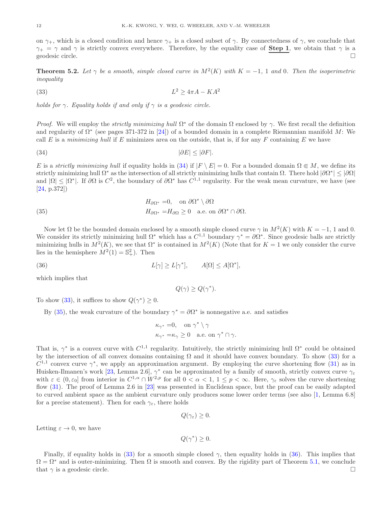on  $\gamma_+$ , which is a closed condition and hence  $\gamma_+$  is a closed subset of  $\gamma$ . By connectedness of  $\gamma$ , we conclude that  $\gamma_+ = \gamma$  and  $\gamma$  is strictly convex everywhere. Therefore, by the equality case of **Step 1**, we obtain that  $\gamma$  is a geodesic circle.

<span id="page-11-0"></span>**Theorem 5.2.** Let  $\gamma$  be a smooth, simple closed curve in  $M^2(K)$  with  $K = -1$ , 1 and 0. Then the isoperimetric inequality

<span id="page-11-2"></span>
$$
(33)\t\t\t L^2 \ge 4\pi A - KA^2
$$

holds for  $\gamma$ . Equality holds if and only if  $\gamma$  is a geodesic circle.

Proof. We will employ the *strictly minimizing hull*  $\Omega^*$  of the domain  $\Omega$  enclosed by  $\gamma$ . We first recall the definition and regularity of  $\Omega^*$  (see pages 371-372 in [\[24](#page-15-8)]) of a bounded domain in a complete Riemannian manifold M: We call E is a minimizing hull if E minimizes area on the outside, that is, if for any F containing E we have

$$
|\partial E| \le |\partial F|.
$$

E is a strictly minimizing hull if equality holds in [\(34\)](#page-11-1) if  $|F \setminus E| = 0$ . For a bounded domain  $\Omega \subseteq M$ , we define its strictly minimizing hull  $\Omega^*$  as the intersection of all strictly minimizing hulls that contain  $\Omega$ . There hold  $|\partial \Omega^*| \leq |\partial \Omega|$ and  $|\Omega| \leq |\Omega^*|$ . If  $\partial \Omega$  is  $C^2$ , the boundary of  $\partial \Omega^*$  has  $C^{1,1}$  regularity. For the weak mean curvature, we have (see [\[24](#page-15-8), p.372])

<span id="page-11-3"></span>(35) 
$$
H_{\partial\Omega^*} = 0, \text{ on } \partial\Omega^* \setminus \partial\Omega
$$

$$
H_{\partial\Omega^*} = H_{\partial\Omega} \ge 0 \text{ a.e. on } \partial\Omega^* \cap \partial\Omega.
$$

Now let  $\Omega$  be the bounded domain enclosed by a smooth simple closed curve  $\gamma$  in  $M^2(K)$  with  $K = -1, 1$  and 0. We consider its strictly minimizing hull  $\Omega^*$  which has a  $C^{1,1}$  boundary  $\gamma^* = \partial \Omega^*$ . Since geodesic balls are strictly minimizing hulls in  $M^2(K)$ , we see that  $\Omega^*$  is contained in  $M^2(K)$  (Note that for  $K = 1$  we only consider the curve lies in the hemisphere  $M^2(1) = \mathbb{S}^2_+$ ). Then

(36) 
$$
L[\gamma] \ge L[\gamma^*], \qquad A[\Omega] \le A[\Omega^*],
$$

which implies that

<span id="page-11-4"></span><span id="page-11-1"></span>
$$
Q(\gamma) \ge Q(\gamma^*).
$$

To show [\(33\)](#page-11-2), it suffices to show  $Q(\gamma^*) \geq 0$ .

By [\(35\)](#page-11-3), the weak curvature of the boundary  $\gamma^* = \partial \Omega^*$  is nonnegative a.e. and satisfies

$$
\begin{aligned}\n\kappa_{\gamma^*} &= & 0, \quad \text{on } \gamma^* \setminus \gamma \\
\kappa_{\gamma^*} &= & \kappa_{\gamma} \ge 0 \quad \text{a.e. on } \gamma^* \cap \gamma.\n\end{aligned}
$$

That is,  $\gamma^*$  is a convex curve with  $C^{1,1}$  regularity. Intuitively, the strictly minimizing hull  $\Omega^*$  could be obtained by the intersection of all convex domains containing  $\Omega$  and it should have convex boundary. To show [\(33\)](#page-11-2) for a  $C^{1,1}$  convex curve  $\gamma^*$ , we apply an approximation argument. By employing the curve shortening flow [\(31\)](#page-10-1) as in Huisken-Ilmanen's work [\[23](#page-15-28), Lemma 2.6],  $\gamma^*$  can be approximated by a family of smooth, strictly convex curve  $\gamma_\varepsilon$ with  $\varepsilon \in (0, \varepsilon_0]$  from interior in  $C^{1,\alpha} \cap W^{2,p}$  for all  $0 < \alpha < 1$ ,  $1 \le p < \infty$ . Here,  $\gamma_{\varepsilon}$  solves the curve shortening flow [\(31\)](#page-10-1). The proof of Lemma 2.6 in [\[23](#page-15-28)] was presented in Euclidean space, but the proof can be easily adapted to curved ambient space as the ambient curvature only produces some lower order terms (see also [\[1,](#page-15-29) Lemma 6.8] for a precise statement). Then for each  $\gamma_{\varepsilon}$ , there holds

$$
Q(\gamma_{\varepsilon})\geq 0.
$$

Letting  $\varepsilon \to 0$ , we have

$$
Q(\gamma^*)\geq 0.
$$

Finally, if equality holds in [\(33\)](#page-11-2) for a smooth simple closed  $\gamma$ , then equality holds in [\(36\)](#page-11-4). This implies that  $\Omega = \Omega^*$  and is outer-minimizing. Then  $\Omega$  is smooth and convex. By the rigidity part of Theorem [5.1,](#page-10-3) we conclude that  $\gamma$  is a geodesic circle.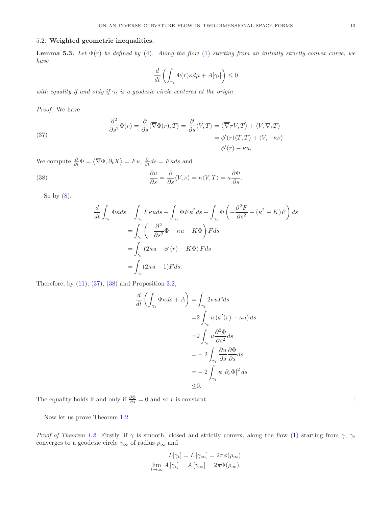# 5.2. Weighted geometric inequalities.

<span id="page-12-2"></span>**Lemma 5.3.** Let  $\Phi(r)$  be defined by [\(4\)](#page-1-1). Along the flow [\(1\)](#page-0-0) starting from an initially strictly convex curve, we have

$$
\frac{d}{dt}\left(\int_{\gamma_t}\Phi(r)\kappa d\mu+A[\gamma_t]\right)\leq 0
$$

with equality if and only if  $\gamma_t$  is a geodesic circle centered at the origin.

Proof. We have

<span id="page-12-0"></span>(37) 
$$
\frac{\partial^2}{\partial s^2} \Phi(r) = \frac{\partial}{\partial s} \langle \overline{\nabla} \Phi(r), T \rangle = \frac{\partial}{\partial s} \langle V, T \rangle = \langle \overline{\nabla}_T V, T \rangle + \langle V, \nabla_s T \rangle
$$

$$
= \phi'(r) \langle T, T \rangle + \langle V, -\kappa \nu \rangle
$$

$$
= \phi'(r) - \kappa u.
$$

We compute  $\frac{\partial}{\partial t} \Phi = \langle \overline{\nabla} \Phi, \partial_t X \rangle = Fu$ ,  $\frac{\partial}{\partial t} ds = F \kappa ds$  and

<span id="page-12-1"></span>(38) 
$$
\frac{\partial u}{\partial s} = \frac{\partial}{\partial s} \langle V, \nu \rangle = \kappa \langle V, T \rangle = \kappa \frac{\partial \Phi}{\partial s}.
$$

So by  $(8)$ ,

$$
\frac{d}{dt} \int_{\gamma_t} \Phi \kappa ds = \int_{\gamma_t} F \kappa u ds + \int_{\gamma_t} \Phi F \kappa^2 ds + \int_{\gamma_t} \Phi \left( -\frac{\partial^2 F}{\partial s^2} - (\kappa^2 + K) F \right) ds
$$
  
\n
$$
= \int_{\gamma_t} \left( -\frac{\partial^2}{\partial s^2} \Phi + \kappa u - K \Phi \right) F ds
$$
  
\n
$$
= \int_{\gamma_t} (2\kappa u - \phi'(r) - K \Phi) F ds
$$
  
\n
$$
= \int_{\gamma_t} (2\kappa u - 1) F ds.
$$

Therefore, by  $(11)$ ,  $(37)$ ,  $(38)$  and Proposition [3.2,](#page-4-4)

$$
\frac{d}{dt} \left( \int_{\gamma_t} \Phi \kappa ds + A \right) = \int_{\gamma_t} 2\kappa uF ds
$$
  
\n
$$
= 2 \int_{\gamma_t} u \left( \phi'(r) - \kappa u \right) ds
$$
  
\n
$$
= 2 \int_{\gamma_t} u \frac{\partial^2 \Phi}{\partial s^2} ds
$$
  
\n
$$
= -2 \int_{\gamma_t} \frac{\partial u}{\partial s} \frac{\partial \Phi}{\partial s} ds
$$
  
\n
$$
= -2 \int_{\gamma_t} \kappa |\partial_s \Phi|^2 ds
$$
  
\n
$$
\leq 0.
$$

The equality holds if and only if  $\frac{\partial \Phi}{\partial s} = 0$  and so r is constant.

Now let us prove Theorem [1.2.](#page-1-0)

Proof of Theorem [1.2.](#page-1-0) Firstly, if  $\gamma$  is smooth, closed and strictly convex, along the flow [\(1\)](#page-0-0) starting from  $\gamma$ ,  $\gamma_t$ converges to a geodesic circle  $\gamma_\infty$  of radius  $\rho_\infty$  and

$$
L[\gamma_t] = L[\gamma_\infty] = 2\pi \phi(\rho_\infty)
$$
  

$$
\lim_{t \to \infty} A[\gamma_t] = A[\gamma_\infty] = 2\pi \Phi(\rho_\infty).
$$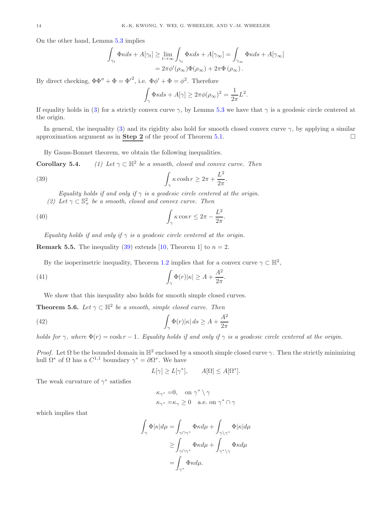On the other hand, Lemma [5.3](#page-12-2) implies

$$
\int_{\gamma_t} \Phi \kappa ds + A[\gamma_t] \ge \lim_{t \to \infty} \int_{\gamma_t} \Phi \kappa ds + A[\gamma_\infty] = \int_{\gamma_\infty} \Phi \kappa ds + A[\gamma_\infty]
$$

$$
= 2\pi \phi'(\rho_\infty) \Phi(\rho_\infty) + 2\pi \Phi(\rho_\infty).
$$

By direct checking,  $\Phi \Phi'' + \Phi = {\Phi'}^2$ , i.e.  $\Phi \phi' + \Phi = \phi^2$ . Therefore

$$
\int_{\gamma} \Phi \kappa ds + A[\gamma] \geq 2\pi \phi(\rho_{\infty})^2 = \frac{1}{2\pi}L^2.
$$

If equality holds in [\(3\)](#page-1-2) for a strictly convex curve  $\gamma$ , by Lemma [5.3](#page-12-2) we have that  $\gamma$  is a geodesic circle centered at the origin.

In general, the inequality [\(3\)](#page-1-2) and its rigidity also hold for smooth closed convex curve  $\gamma$ , by applying a similar approximation argument as in **Step 2** of the proof of Theorem [5.1.](#page-10-3)

By Gauss-Bonnet theorem, we obtain the following inequalities.

**Corollary 5.4.** (1) Let  $\gamma \subset \mathbb{H}^2$  be a smooth, closed and convex curve. Then

<span id="page-13-1"></span>(39) 
$$
\int_{\gamma} \kappa \cosh r \geq 2\pi + \frac{L^2}{2\pi}.
$$

Equality holds if and only if  $\gamma$  is a geodesic circle centered at the origin. (2) Let  $\gamma \subset \mathbb{S}^2_+$  be a smooth, closed and convex curve. Then

<span id="page-13-0"></span>(40) 
$$
\int_{\gamma} \kappa \cos r \leq 2\pi - \frac{L^2}{2\pi}.
$$

Equality holds if and only if  $\gamma$  is a geodesic circle centered at the origin.

**Remark 5.5.** The inequality  $(39)$  extends [\[10,](#page-15-12) Theorem 1] to  $n = 2$ .

By the isoperimetric inequality, Theorem [1.2](#page-1-0) implies that for a convex curve  $\gamma \subset \mathbb{H}^2$ ,

<span id="page-13-3"></span>(41) 
$$
\int_{\gamma} \Phi(r)|\kappa| \geq A + \frac{A^2}{2\pi}.
$$

We show that this inequality also holds for smooth simple closed curves.

**Theorem 5.6.** Let  $\gamma \subset \mathbb{H}^2$  be a smooth, simple closed curve. Then

(42) 
$$
\int_{\gamma} \Phi(r)|\kappa| ds \ge A + \frac{A^2}{2\pi}
$$

holds for  $\gamma$ , where  $\Phi(r) = \cosh r - 1$ . Equality holds if and only if  $\gamma$  is a geodesic circle centered at the origin.

Proof. Let  $\Omega$  be the bounded domain in  $\mathbb{H}^2$  enclosed by a smooth simple closed curve  $\gamma$ . Then the strictly minimizing hull  $\Omega^*$  of  $\Omega$  has a  $C^{1,1}$  boundary  $\gamma^* = \partial \Omega^*$ . We have

<span id="page-13-2"></span>
$$
L[\gamma] \ge L[\gamma^*], \qquad A[\Omega] \le A[\Omega^*].
$$

The weak curvature of  $\gamma^*$  satisfies

$$
\begin{aligned}\n\kappa_{\gamma^*} =& 0, \quad \text{on } \gamma^* \setminus \gamma \\
\kappa_{\gamma^*} =& \kappa_{\gamma} \ge 0 \quad \text{a.e. on } \gamma^* \cap \gamma\n\end{aligned}
$$

which implies that

$$
\int_{\gamma} \Phi|\kappa| d\mu = \int_{\gamma \cap \gamma^*} \Phi \kappa d\mu + \int_{\gamma \setminus \gamma^*} \Phi|\kappa| d\mu
$$

$$
\geq \int_{\gamma \cap \gamma^*} \Phi \kappa d\mu + \int_{\gamma^* \setminus \gamma} \Phi \kappa d\mu
$$

$$
= \int_{\gamma^*} \Phi \kappa d\mu.
$$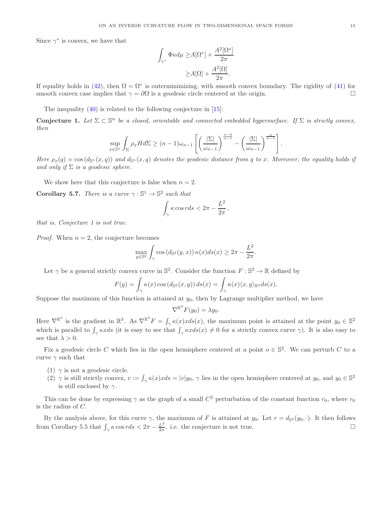Since  $\gamma^*$  is convex, we have that

$$
\int_{\gamma^*} \Phi \kappa d\mu \ge A[\Omega^*] + \frac{A^2[\Omega^*]}{2\pi}
$$

$$
\ge A[\Omega] + \frac{A^2[\Omega]}{2\pi}.
$$

If equality holds in [\(42\)](#page-13-2), then  $\Omega = \Omega^*$  is outerminimizing, with smooth convex boundary. The rigidity of [\(41\)](#page-13-3) for smooth convex case implies that  $\gamma = \partial \Omega$  is a geodesic circle centered at the origin.

The inequality [\(40\)](#page-13-0) is related to the following conjecture in [\[15\]](#page-15-21):

<span id="page-14-1"></span>**Conjecture 1.** Let  $\Sigma \subset \mathbb{S}^n$  be a closed, orientable and connected embedded hypersurface. If  $\Sigma$  is strictly convex, then

$$
\sup_{x \in \mathbb{S}^n} \int_{\Sigma} \rho_x H d\Sigma \ge (n-1)\omega_{n-1} \left[ \left( \frac{|\Sigma|}{\omega_{n-1}} \right)^{\frac{n-2}{n-1}} - \left( \frac{|\Sigma|}{\omega_{n-1}} \right)^{\frac{n}{n-1}} \right].
$$

Here  $\rho_x(q) = \cos(d_{\mathbb{S}^n}(x,q))$  and  $d_{\mathbb{S}^n}(x,q)$  denotes the geodesic distance from q to x. Moreover, the equality holds if and only if  $\Sigma$  is a geodesic sphere.

We show here that this conjecture is false when  $n = 2$ .

<span id="page-14-0"></span>**Corollary 5.7.** There is a curve  $\gamma : \mathbb{S}^1 \to \mathbb{S}^2$  such that

$$
\int_\gamma \kappa \cos r ds < 2\pi - \frac{L^2}{2\pi} \,,
$$

that is, Conjecture [1](#page-14-1) is not true.

*Proof.* When  $n = 2$ , the conjecture becomes

$$
\max_{y \in \mathbb{S}^2} \int_{\gamma} \cos \left( d_{\mathbb{S}^2}(y, x) \right) \kappa(x) ds(x) \geq 2\pi - \frac{L^2}{2\pi}.
$$

Let  $\gamma$  be a general strictly convex curve in  $\mathbb{S}^2$ . Consider the function  $F : \mathbb{S}^2 \to \mathbb{R}$  defined by

$$
F(y) = \int_{\gamma} \kappa(x) \cos (d_{\mathbb{S}^2}(x, y)) ds(x) = \int_{\gamma} \kappa(x) \langle x, y \rangle_{\mathbb{R}^3} ds(x).
$$

Suppose the maximum of this function is attained at  $y_0$ , then by Lagrange multiplier method, we have

$$
\nabla^{\mathbb{R}^3} F(y_0) = \lambda y_0.
$$

Here  $\nabla^{\mathbb{R}^3}$  is the gradient in  $\mathbb{R}^3$ . As  $\nabla^{\mathbb{R}^3} F = \int_{\gamma} \kappa(x) x ds(x)$ , the maximum point is attained at the point  $y_0 \in \mathbb{S}^2$ which is parallel to  $\int_{\gamma} \kappa x ds$  (it is easy to see that  $\int_{\gamma} \kappa x ds(x) \neq 0$  for a strictly convex curve  $\gamma$ ). It is also easy to see that  $\lambda > 0$ .

Fix a geodesic circle C which lies in the open hemisphere centered at a point  $o \in \mathbb{S}^2$ . We can perturb C to a curve  $\gamma$  such that

- (1)  $\gamma$  is not a geodesic circle.
- (2)  $\gamma$  is still strictly convex,  $v := \int_{\gamma} \kappa(x) x ds = |v| y_0$ ,  $\gamma$  lies in the open hemisphere centered at  $y_0$ , and  $y_0 \in \mathbb{S}^2$ is still enclosed by  $\gamma$ .

This can be done by expressing  $\gamma$  as the graph of a small  $C^2$  perturbation of the constant function  $r_0$ , where  $r_0$ is the radius of C.

By the analysis above, for this curve  $\gamma$ , the maximum of F is attained at  $y_0$ . Let  $r = d_{\mathbb{S}^2}(y_0, \cdot)$ . It then follows from Corollary 5.5 that  $\int_{\gamma} \kappa \cos r ds < 2\pi - \frac{L^2}{2\pi}$  $\frac{L^2}{2\pi}$ . i.e. the conjecture is not true.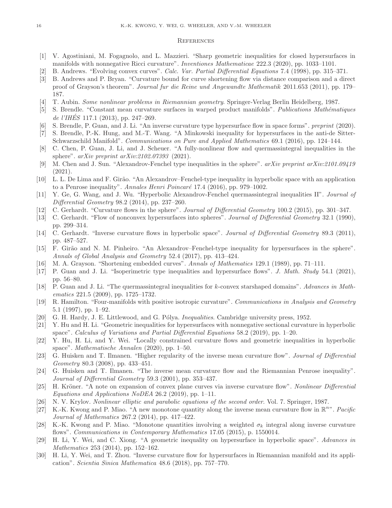### **REFERENCES**

- <span id="page-15-29"></span><span id="page-15-0"></span>[1] V. Agostiniani, M. Fogagnolo, and L. Mazzieri. "Sharp geometric inequalities for closed hypersurfaces in manifolds with nonnegative Ricci curvature". Inventiones Mathematicae 222.3 (2020), pp. 1033–1101.
- <span id="page-15-3"></span>[2] B. Andrews. "Evolving convex curves". Calc. Var. Partial Differential Equations 7.4 (1998), pp. 315–371.
- [3] B. Andrews and P. Bryan. "Curvature bound for curve shortening flow via distance comparison and a direct proof of Grayson's theorem". Journal fur die Reine und Angewandte Mathematik 2011.653 (2011), pp. 179– 187.
- <span id="page-15-26"></span><span id="page-15-23"></span>[4] T. Aubin. Some nonlinear problems in Riemannian geometry. Springer-Verlag Berlin Heidelberg, 1987.
- [5] S. Brendle. "Constant mean curvature surfaces in warped product manifolds". Publications Mathématiques de l'IHÉS<sup> $117.1$ </sup> (2013), pp. 247–269.
- <span id="page-15-9"></span><span id="page-15-6"></span>S. Brendle, P. Guan, and J. Li. "An inverse curvature type hypersurface flow in space forms". preprint (2020).
- [7] S. Brendle, P.-K. Hung, and M.-T. Wang. "A Minkowski inequality for hypersurfaces in the anti-de Sitter-Schwarzschild Manifold". Communications on Pure and Applied Mathematics 69.1 (2016), pp. 124–144.
- <span id="page-15-10"></span>[8] C. Chen, P. Guan, J. Li, and J. Scheuer. "A fully-nonlinear flow and quermassintegral inequalities in the sphere". arXiv preprint arXiv:2102.07393 (2021).
- <span id="page-15-11"></span>[9] M. Chen and J. Sun. "Alexandrov-Fenchel type inequalities in the sphere".  $arXiv$  preprint  $arXiv:2101.09419$ (2021).
- <span id="page-15-12"></span>[10] L. L. De Lima and F. Girão. "An Alexandrov–Fenchel-type inequality in hyperbolic space with an application to a Penrose inequality". Annales Henri Poincaré 17.4 (2016), pp. 979–1002.
- <span id="page-15-13"></span>[11] Y. Ge, G. Wang, and J. Wu. "Hyperbolic Alexandrov-Fenchel quermassintegral inequalities II". Journal of Differential Geometry 98.2 (2014), pp. 237–260.
- <span id="page-15-4"></span><span id="page-15-1"></span>[12] C. Gerhardt. "Curvature flows in the sphere". Journal of Differential Geometry 100.2 (2015), pp. 301–347.
- [13] C. Gerhardt. "Flow of nonconvex hypersurfaces into spheres". Journal of Differential Geometry 32.1 (1990), pp. 299–314.
- <span id="page-15-5"></span>[14] C. Gerhardt. "Inverse curvature flows in hyperbolic space". Journal of Differential Geometry 89.3 (2011), pp. 487–527.
- <span id="page-15-21"></span>[15] F. Gir˜ao and N. M. Pinheiro. "An Alexandrov–Fenchel-type inequality for hypersurfaces in the sphere". Annals of Global Analysis and Geometry 52.4 (2017), pp. 413–424.
- <span id="page-15-22"></span><span id="page-15-14"></span>[16] M. A. Grayson. "Shortening embedded curves". Annals of Mathematics 129.1 (1989), pp. 71–111.
- [17] P. Guan and J. Li. "Isoperimetric type inequalities and hypersurface flows". J. Math. Study 54.1 (2021), pp. 56–80.
- <span id="page-15-15"></span>[18] P. Guan and J. Li. "The quermassintegral inequalities for k-convex starshaped domains". Advances in Mathematics 221.5 (2009), pp. 1725–1732.
- <span id="page-15-24"></span>[19] R. Hamilton. "Four-manifolds with positive isotropic curvature". Communications in Analysis and Geometry 5.1 (1997), pp. 1–92.
- <span id="page-15-27"></span><span id="page-15-18"></span>[20] G. H. Hardy, J. E. Littlewood, and G. Pólya. *Inequalities*. Cambridge university press, 1952.
- [21] Y. Hu and H. Li. "Geometric inequalities for hypersurfaces with nonnegative sectional curvature in hyperbolic space". Calculus of Variations and Partial Differential Equations 58.2 (2019), pp. 1–20.
- <span id="page-15-7"></span>[22] Y. Hu, H. Li, and Y. Wei. "Locally constrained curvature flows and geometric inequalities in hyperbolic space". Mathematische Annalen (2020), pp. 1–50.
- <span id="page-15-28"></span>[23] G. Huisken and T. Ilmanen. "Higher regularity of the inverse mean curvature flow". Journal of Differential Geometry 80.3 (2008), pp. 433–451.
- <span id="page-15-8"></span>[24] G. Huisken and T. Ilmanen. "The inverse mean curvature flow and the Riemannian Penrose inequality". Journal of Differential Geometry 59.3 (2001), pp. 353–437.
- <span id="page-15-2"></span>[25] H. Kröner. "A note on expansion of convex plane curves via inverse curvature flow". Nonlinear Differential Equations and Applications NoDEA 26.2 (2019), pp. 1–11.
- <span id="page-15-25"></span><span id="page-15-19"></span>[26] N. V. Krylov. Nonlinear elliptic and parabolic equations of the second order. Vol. 7. Springer, 1987.
- [27] K.-K. Kwong and P. Miao. "A new monotone quantity along the inverse mean curvature flow in  $\mathbb{R}^{n}$ ". Pacific Journal of Mathematics 267.2 (2014), pp. 417–422.
- <span id="page-15-20"></span>[28] K.-K. Kwong and P. Miao. "Monotone quantities involving a weighted  $\sigma_k$  integral along inverse curvature flows". Communications in Contemporary Mathematics 17.05 (2015), p. 1550014.
- <span id="page-15-16"></span>[29] H. Li, Y. Wei, and C. Xiong. "A geometric inequality on hypersurface in hyperbolic space". Advances in Mathematics 253 (2014), pp. 152–162.
- <span id="page-15-17"></span>[30] H. Li, Y. Wei, and T. Zhou. "Inverse curvature flow for hypersurfaces in Riemannian manifold and its application". Scientia Sinica Mathematica 48.6 (2018), pp. 757–770.